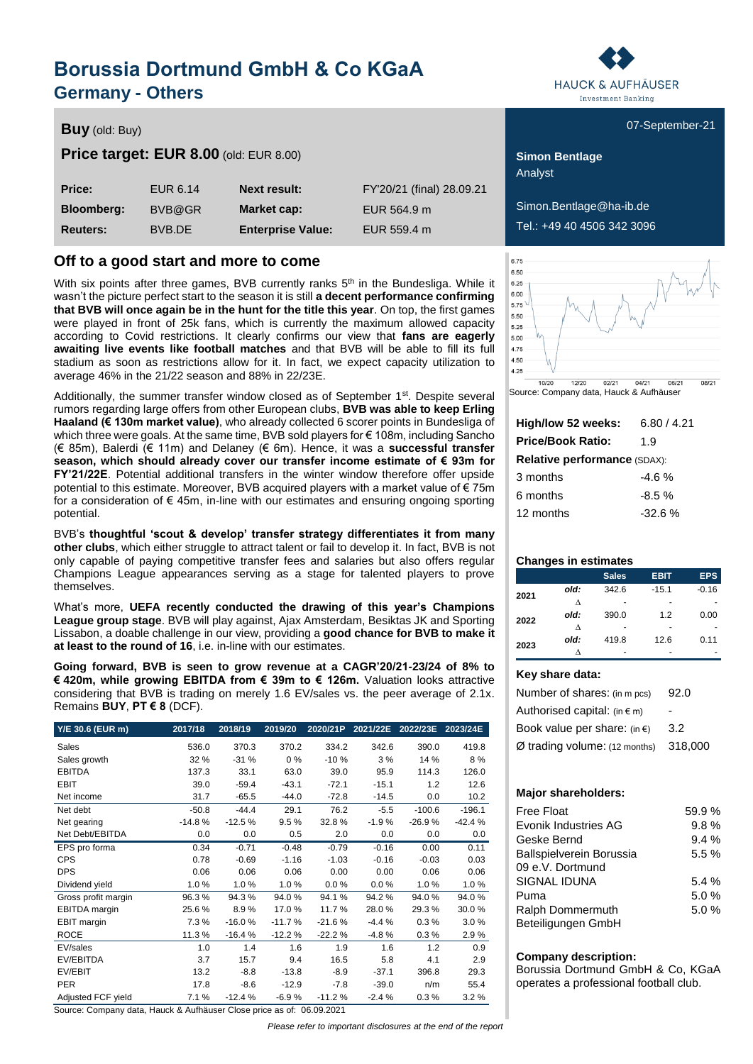## **Borussia Dortmund GmbH & Co KGaA Germany - Others**

### **Buy** (old: Buy) **Buy** (old: Buy) **COVID-21** (old: Buy) **COVID-21** (old: Buy) **COVID-21** (old: Buy) **COVID-21**

### **Price target: EUR 8.00** (old: EUR 8.00) **Simon Bentlage**

| Price:            | EUR 6.14 | <b>Next result:</b>      | FY'20/21 (final) 28.09.21 |
|-------------------|----------|--------------------------|---------------------------|
| <b>Bloomberg:</b> | BVB@GR   | Market cap:              | EUR 564.9 m               |
| <b>Reuters:</b>   | BVB.DE   | <b>Enterprise Value:</b> | EUR 559.4 m               |

### **Off to a good start and more to come**

With six points after three games, BVB currently ranks  $5<sup>th</sup>$  in the Bundesliga. While it wasn't the picture perfect start to the season it is still **a decent performance confirming that BVB will once again be in the hunt for the title this year**. On top, the first games were played in front of 25k fans, which is currently the maximum allowed capacity according to Covid restrictions. It clearly confirms our view that **fans are eagerly awaiting live events like football matches** and that BVB will be able to fill its full stadium as soon as restrictions allow for it. In fact, we expect capacity utilization to average 46% in the 21/22 season and 88% in 22/23E.

Additionally, the summer transfer window closed as of September 1<sup>st</sup>. Despite several rumors regarding large offers from other European clubs, **BVB was able to keep Erling Haaland (€ 130m market value)**, who already collected 6 scorer points in Bundesliga of which three were goals. At the same time, BVB sold players for € 108m, including Sancho (€ 85m), Balerdi (€ 11m) and Delaney (€ 6m). Hence, it was a **successful transfer season, which should already cover our transfer income estimate of € 93m for FY'21/22E**. Potential additional transfers in the winter window therefore offer upside potential to this estimate. Moreover, BVB acquired players with a market value of € 75m for a consideration of  $\epsilon$  45m, in-line with our estimates and ensuring ongoing sporting potential.

BVB's **thoughtful 'scout & develop' transfer strategy differentiates it from many other clubs**, which either struggle to attract talent or fail to develop it. In fact, BVB is not only capable of paying competitive transfer fees and salaries but also offers regular Champions League appearances serving as a stage for talented players to prove themselves.

What's more, **UEFA recently conducted the drawing of this year's Champions League group stage**. BVB will play against, Ajax Amsterdam, Besiktas JK and Sporting Lissabon, a doable challenge in our view, providing a **good chance for BVB to make it at least to the round of 16**, i.e. in-line with our estimates.

**Going forward, BVB is seen to grow revenue at a CAGR'20/21-23/24 of 8% to € 420m, while growing EBITDA from € 39m to € 126m.** Valuation looks attractive considering that BVB is trading on merely 1.6 EV/sales vs. the peer average of 2.1x. Remains **BUY**, **PT € 8** (DCF).

| Y/E 30.6 (EUR m)     | 2017/18  | 2018/19  | 2019/20  | 2020/21P | 2021/22E | 2022/23E | 2023/24E |
|----------------------|----------|----------|----------|----------|----------|----------|----------|
| Sales                | 536.0    | 370.3    | 370.2    | 334.2    | 342.6    | 390.0    | 419.8    |
| Sales growth         | 32 %     | $-31%$   | $0\%$    | $-10%$   | 3%       | 14 %     | 8%       |
| <b>EBITDA</b>        | 137.3    | 33.1     | 63.0     | 39.0     | 95.9     | 114.3    | 126.0    |
| <b>EBIT</b>          | 39.0     | $-59.4$  | $-43.1$  | $-72.1$  | $-15.1$  | 1.2      | 12.6     |
| Net income           | 31.7     | $-65.5$  | $-44.0$  | $-72.8$  | $-14.5$  | 0.0      | 10.2     |
| Net debt             | $-50.8$  | $-44.4$  | 29.1     | 76.2     | $-5.5$   | $-100.6$ | $-196.1$ |
| Net gearing          | $-14.8%$ | $-12.5%$ | 9.5%     | 32.8%    | $-1.9%$  | $-26.9%$ | $-42.4%$ |
| Net Debt/EBITDA      | 0.0      | 0.0      | 0.5      | 2.0      | 0.0      | 0.0      | 0.0      |
| EPS pro forma        | 0.34     | $-0.71$  | $-0.48$  | $-0.79$  | $-0.16$  | 0.00     | 0.11     |
| <b>CPS</b>           | 0.78     | $-0.69$  | $-1.16$  | $-1.03$  | $-0.16$  | $-0.03$  | 0.03     |
| <b>DPS</b>           | 0.06     | 0.06     | 0.06     | 0.00     | 0.00     | 0.06     | 0.06     |
| Dividend yield       | 1.0%     | 1.0%     | 1.0%     | 0.0%     | 0.0%     | 1.0%     | 1.0%     |
| Gross profit margin  | 96.3%    | 94.3%    | 94.0%    | 94.1%    | 94.2%    | 94.0%    | 94.0%    |
| <b>EBITDA</b> margin | 25.6%    | 8.9%     | 17.0%    | 11.7%    | 28.0%    | 29.3%    | 30.0%    |
| EBIT margin          | 7.3%     | $-16.0%$ | $-11.7%$ | $-21.6%$ | $-4.4%$  | 0.3%     | 3.0%     |
| <b>ROCE</b>          | 11.3%    | $-16.4%$ | $-12.2%$ | $-22.2%$ | $-4.8%$  | 0.3%     | 2.9%     |
| EV/sales             | 1.0      | 1.4      | 1.6      | 1.9      | 1.6      | 1.2      | 0.9      |
| EV/EBITDA            | 3.7      | 15.7     | 9.4      | 16.5     | 5.8      | 4.1      | 2.9      |
| EV/EBIT              | 13.2     | $-8.8$   | $-13.8$  | $-8.9$   | $-37.1$  | 396.8    | 29.3     |
| <b>PER</b>           | 17.8     | $-8.6$   | $-12.9$  | $-7.8$   | $-39.0$  | n/m      | 55.4     |
| Adjusted FCF yield   | 7.1%     | $-12.4%$ | $-6.9%$  | $-11.2%$ | $-2.4%$  | 0.3%     | 3.2%     |

Source: Company data, Hauck & Aufhäuser Close price as of: 06.09.2021

*Please refer to important disclosures at the end of the report*



Analyst

 $Simon.$ Bentlage@ha-ib.de **Reuters:** BVB.DE **Enterprise Value:** EUR 559.4 m Tel.: +49 40 4506 342 3096



Source: Company data, Hauck & Aufhäuser

| High/low 52 weeks:           | 6.80 / 4.21 |  |  |  |  |  |  |
|------------------------------|-------------|--|--|--|--|--|--|
| <b>Price/Book Ratio:</b>     | 1.9         |  |  |  |  |  |  |
| Relative performance (SDAX): |             |  |  |  |  |  |  |
| 3 months                     | -4.6%       |  |  |  |  |  |  |
| 6 months                     | $-8.5%$     |  |  |  |  |  |  |
| 12 months                    | $-32.6%$    |  |  |  |  |  |  |

### **Changes in estimates**

|      |      | <b>Sales</b> | <b>EBIT</b> | <b>EPS</b> |
|------|------|--------------|-------------|------------|
| 2021 | old: | 342.6        | $-15.1$     | $-0.16$    |
|      | ٨    |              |             |            |
| 2022 | old: | 390.0        | 1.2         | 0.00       |
|      | л    |              |             |            |
| 2023 | old: | 419.8        | 12.6        | 0.11       |
|      |      |              |             |            |

### **Key share data:**

| Number of shares: (in m pcs)     | 92.0    |
|----------------------------------|---------|
| Authorised capital: $(in \in m)$ |         |
| Book value per share: $(in \in)$ | 3.2     |
| $Ø$ trading volume: (12 months)  | 318,000 |

### **Major shareholders:**

| Free Float                      | 59.9% |
|---------------------------------|-------|
| Evonik Industries AG            | 9.8%  |
| Geske Bernd                     | 9.4%  |
| <b>Ballspielverein Borussia</b> | 5.5%  |
| 09 e.V. Dortmund                |       |
| SIGNAL IDUNA                    | 5.4%  |
| Puma                            | 5.0%  |
| Ralph Dommermuth                | 5.0%  |
| Beteiligungen GmbH              |       |

### **Company description:**

Borussia Dortmund GmbH & Co, KGaA operates a professional football club.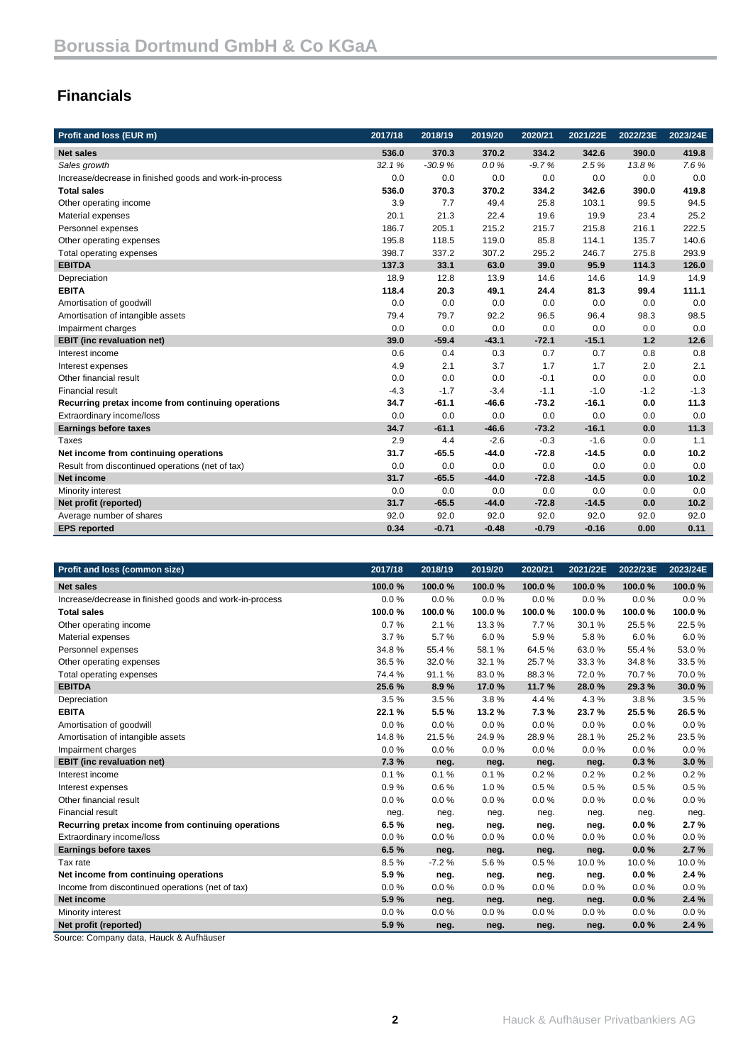## **Financials**

| Profit and loss (EUR m)                                 | 2017/18 | 2018/19  | 2019/20 | 2020/21 | 2021/22E | 2022/23E | 2023/24E |
|---------------------------------------------------------|---------|----------|---------|---------|----------|----------|----------|
| <b>Net sales</b>                                        | 536.0   | 370.3    | 370.2   | 334.2   | 342.6    | 390.0    | 419.8    |
| Sales growth                                            | 32.1%   | $-30.9%$ | 0.0%    | $-9.7%$ | 2.5%     | 13.8%    | 7.6%     |
| Increase/decrease in finished goods and work-in-process | 0.0     | 0.0      | 0.0     | 0.0     | 0.0      | 0.0      | 0.0      |
| <b>Total sales</b>                                      | 536.0   | 370.3    | 370.2   | 334.2   | 342.6    | 390.0    | 419.8    |
| Other operating income                                  | 3.9     | 7.7      | 49.4    | 25.8    | 103.1    | 99.5     | 94.5     |
| Material expenses                                       | 20.1    | 21.3     | 22.4    | 19.6    | 19.9     | 23.4     | 25.2     |
| Personnel expenses                                      | 186.7   | 205.1    | 215.2   | 215.7   | 215.8    | 216.1    | 222.5    |
| Other operating expenses                                | 195.8   | 118.5    | 119.0   | 85.8    | 114.1    | 135.7    | 140.6    |
| Total operating expenses                                | 398.7   | 337.2    | 307.2   | 295.2   | 246.7    | 275.8    | 293.9    |
| <b>EBITDA</b>                                           | 137.3   | 33.1     | 63.0    | 39.0    | 95.9     | 114.3    | 126.0    |
| Depreciation                                            | 18.9    | 12.8     | 13.9    | 14.6    | 14.6     | 14.9     | 14.9     |
| <b>EBITA</b>                                            | 118.4   | 20.3     | 49.1    | 24.4    | 81.3     | 99.4     | 111.1    |
| Amortisation of goodwill                                | 0.0     | 0.0      | 0.0     | 0.0     | 0.0      | 0.0      | 0.0      |
| Amortisation of intangible assets                       | 79.4    | 79.7     | 92.2    | 96.5    | 96.4     | 98.3     | 98.5     |
| Impairment charges                                      | 0.0     | 0.0      | 0.0     | 0.0     | 0.0      | 0.0      | 0.0      |
| <b>EBIT</b> (inc revaluation net)                       | 39.0    | $-59.4$  | $-43.1$ | $-72.1$ | $-15.1$  | 1.2      | 12.6     |
| Interest income                                         | 0.6     | 0.4      | 0.3     | 0.7     | 0.7      | 0.8      | 0.8      |
| Interest expenses                                       | 4.9     | 2.1      | 3.7     | 1.7     | 1.7      | 2.0      | 2.1      |
| Other financial result                                  | 0.0     | 0.0      | 0.0     | $-0.1$  | 0.0      | 0.0      | 0.0      |
| <b>Financial result</b>                                 | $-4.3$  | $-1.7$   | $-3.4$  | $-1.1$  | $-1.0$   | $-1.2$   | $-1.3$   |
| Recurring pretax income from continuing operations      | 34.7    | $-61.1$  | $-46.6$ | $-73.2$ | $-16.1$  | 0.0      | 11.3     |
| Extraordinary income/loss                               | 0.0     | 0.0      | 0.0     | 0.0     | 0.0      | 0.0      | 0.0      |
| <b>Earnings before taxes</b>                            | 34.7    | $-61.1$  | $-46.6$ | $-73.2$ | $-16.1$  | 0.0      | 11.3     |
| Taxes                                                   | 2.9     | 4.4      | $-2.6$  | $-0.3$  | $-1.6$   | 0.0      | 1.1      |
| Net income from continuing operations                   | 31.7    | $-65.5$  | $-44.0$ | $-72.8$ | $-14.5$  | 0.0      | 10.2     |
| Result from discontinued operations (net of tax)        | 0.0     | 0.0      | 0.0     | 0.0     | 0.0      | 0.0      | 0.0      |
| <b>Net income</b>                                       | 31.7    | $-65.5$  | $-44.0$ | $-72.8$ | $-14.5$  | 0.0      | 10.2     |
| Minority interest                                       | 0.0     | 0.0      | 0.0     | 0.0     | 0.0      | 0.0      | 0.0      |
| Net profit (reported)                                   | 31.7    | $-65.5$  | $-44.0$ | $-72.8$ | $-14.5$  | 0.0      | 10.2     |
| Average number of shares                                | 92.0    | 92.0     | 92.0    | 92.0    | 92.0     | 92.0     | 92.0     |
| <b>EPS reported</b>                                     | 0.34    | $-0.71$  | $-0.48$ | $-0.79$ | $-0.16$  | 0.00     | 0.11     |

| Profit and loss (common size)                           | 2017/18 | 2018/19 | 2019/20 | 2020/21 | 2021/22E | 2022/23E | 2023/24E |
|---------------------------------------------------------|---------|---------|---------|---------|----------|----------|----------|
| <b>Net sales</b>                                        | 100.0%  | 100.0%  | 100.0%  | 100.0%  | 100.0%   | 100.0%   | 100.0%   |
| Increase/decrease in finished goods and work-in-process | 0.0%    | 0.0%    | 0.0%    | 0.0%    | 0.0%     | 0.0%     | 0.0%     |
| <b>Total sales</b>                                      | 100.0%  | 100.0%  | 100.0%  | 100.0%  | 100.0%   | 100.0%   | 100.0%   |
| Other operating income                                  | 0.7%    | 2.1%    | 13.3%   | 7.7%    | 30.1%    | 25.5%    | 22.5%    |
| Material expenses                                       | 3.7%    | 5.7%    | 6.0%    | 5.9%    | 5.8%     | 6.0%     | 6.0%     |
| Personnel expenses                                      | 34.8%   | 55.4 %  | 58.1%   | 64.5%   | 63.0%    | 55.4 %   | 53.0%    |
| Other operating expenses                                | 36.5%   | 32.0%   | 32.1%   | 25.7%   | 33.3%    | 34.8%    | 33.5%    |
| Total operating expenses                                | 74.4%   | 91.1%   | 83.0%   | 88.3%   | 72.0%    | 70.7%    | 70.0%    |
| <b>EBITDA</b>                                           | 25.6%   | 8.9%    | 17.0%   | 11.7%   | 28.0%    | 29.3%    | 30.0%    |
| Depreciation                                            | 3.5%    | 3.5%    | 3.8%    | 4.4%    | 4.3%     | 3.8%     | 3.5%     |
| <b>EBITA</b>                                            | 22.1 %  | 5.5%    | 13.2%   | 7.3%    | 23.7%    | 25.5%    | 26.5%    |
| Amortisation of goodwill                                | 0.0%    | 0.0%    | 0.0%    | 0.0%    | 0.0%     | 0.0%     | 0.0%     |
| Amortisation of intangible assets                       | 14.8%   | 21.5%   | 24.9%   | 28.9%   | 28.1%    | 25.2%    | 23.5%    |
| Impairment charges                                      | 0.0%    | 0.0%    | 0.0%    | 0.0%    | 0.0%     | 0.0%     | 0.0%     |
| <b>EBIT</b> (inc revaluation net)                       | 7.3%    | neg.    | neg.    | neg.    | neg.     | 0.3%     | 3.0%     |
| Interest income                                         | 0.1%    | 0.1%    | 0.1%    | 0.2%    | 0.2%     | 0.2%     | 0.2%     |
| Interest expenses                                       | 0.9%    | 0.6%    | 1.0%    | 0.5%    | 0.5%     | 0.5%     | 0.5%     |
| Other financial result                                  | 0.0%    | 0.0%    | 0.0%    | 0.0%    | 0.0%     | 0.0%     | 0.0%     |
| <b>Financial result</b>                                 | neg.    | neg.    | neg.    | neg.    | neg.     | neg.     | neg.     |
| Recurring pretax income from continuing operations      | 6.5%    | neg.    | neg.    | neg.    | neg.     | $0.0 \%$ | 2.7%     |
| Extraordinary income/loss                               | 0.0%    | 0.0%    | 0.0%    | 0.0%    | 0.0%     | 0.0%     | 0.0%     |
| <b>Earnings before taxes</b>                            | 6.5%    | neg.    | neg.    | neg.    | neg.     | 0.0%     | 2.7%     |
| Tax rate                                                | 8.5%    | $-7.2%$ | 5.6%    | 0.5%    | 10.0%    | 10.0%    | 10.0%    |
| Net income from continuing operations                   | 5.9%    | neg.    | neg.    | neg.    | neg.     | $0.0 \%$ | 2.4%     |
| Income from discontinued operations (net of tax)        | 0.0%    | 0.0%    | 0.0%    | 0.0%    | 0.0%     | 0.0%     | 0.0%     |
| Net income                                              | 5.9%    | neg.    | neg.    | neg.    | neg.     | 0.0%     | 2.4%     |
| Minority interest                                       | 0.0%    | 0.0%    | 0.0%    | 0.0%    | 0.0%     | 0.0%     | 0.0%     |
| Net profit (reported)                                   | 5.9%    | neg.    | neg.    | neg.    | neg.     | 0.0%     | 2.4%     |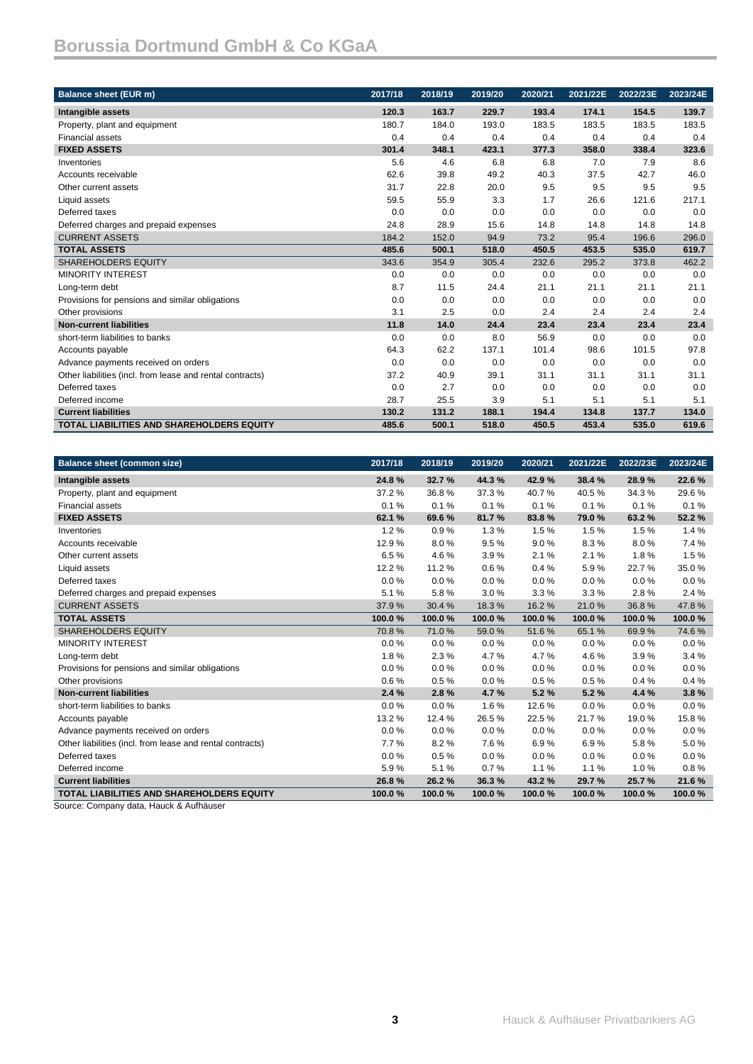| <b>Balance sheet (EUR m)</b>                              | 2017/18 | 2018/19 | 2019/20 | 2020/21 | 2021/22E | 2022/23E | 2023/24E |
|-----------------------------------------------------------|---------|---------|---------|---------|----------|----------|----------|
| Intangible assets                                         | 120.3   | 163.7   | 229.7   | 193.4   | 174.1    | 154.5    | 139.7    |
| Property, plant and equipment                             | 180.7   | 184.0   | 193.0   | 183.5   | 183.5    | 183.5    | 183.5    |
| <b>Financial assets</b>                                   | 0.4     | 0.4     | 0.4     | 0.4     | 0.4      | 0.4      | 0.4      |
| <b>FIXED ASSETS</b>                                       | 301.4   | 348.1   | 423.1   | 377.3   | 358.0    | 338.4    | 323.6    |
| Inventories                                               | 5.6     | 4.6     | 6.8     | 6.8     | 7.0      | 7.9      | 8.6      |
| Accounts receivable                                       | 62.6    | 39.8    | 49.2    | 40.3    | 37.5     | 42.7     | 46.0     |
| Other current assets                                      | 31.7    | 22.8    | 20.0    | 9.5     | 9.5      | 9.5      | 9.5      |
| Liquid assets                                             | 59.5    | 55.9    | 3.3     | 1.7     | 26.6     | 121.6    | 217.1    |
| Deferred taxes                                            | 0.0     | 0.0     | 0.0     | 0.0     | 0.0      | 0.0      | 0.0      |
| Deferred charges and prepaid expenses                     | 24.8    | 28.9    | 15.6    | 14.8    | 14.8     | 14.8     | 14.8     |
| <b>CURRENT ASSETS</b>                                     | 184.2   | 152.0   | 94.9    | 73.2    | 95.4     | 196.6    | 296.0    |
| <b>TOTAL ASSETS</b>                                       | 485.6   | 500.1   | 518.0   | 450.5   | 453.5    | 535.0    | 619.7    |
| <b>SHAREHOLDERS EQUITY</b>                                | 343.6   | 354.9   | 305.4   | 232.6   | 295.2    | 373.8    | 462.2    |
| <b>MINORITY INTEREST</b>                                  | 0.0     | 0.0     | 0.0     | 0.0     | 0.0      | 0.0      | 0.0      |
| Long-term debt                                            | 8.7     | 11.5    | 24.4    | 21.1    | 21.1     | 21.1     | 21.1     |
| Provisions for pensions and similar obligations           | 0.0     | 0.0     | 0.0     | 0.0     | 0.0      | 0.0      | 0.0      |
| Other provisions                                          | 3.1     | 2.5     | 0.0     | 2.4     | 2.4      | 2.4      | 2.4      |
| <b>Non-current liabilities</b>                            | 11.8    | 14.0    | 24.4    | 23.4    | 23.4     | 23.4     | 23.4     |
| short-term liabilities to banks                           | 0.0     | 0.0     | 8.0     | 56.9    | 0.0      | 0.0      | 0.0      |
| Accounts payable                                          | 64.3    | 62.2    | 137.1   | 101.4   | 98.6     | 101.5    | 97.8     |
| Advance payments received on orders                       | 0.0     | 0.0     | 0.0     | 0.0     | 0.0      | 0.0      | 0.0      |
| Other liabilities (incl. from lease and rental contracts) | 37.2    | 40.9    | 39.1    | 31.1    | 31.1     | 31.1     | 31.1     |
| Deferred taxes                                            | 0.0     | 2.7     | 0.0     | 0.0     | 0.0      | 0.0      | 0.0      |
| Deferred income                                           | 28.7    | 25.5    | 3.9     | 5.1     | 5.1      | 5.1      | 5.1      |
| <b>Current liabilities</b>                                | 130.2   | 131.2   | 188.1   | 194.4   | 134.8    | 137.7    | 134.0    |
| <b>TOTAL LIABILITIES AND SHAREHOLDERS EQUITY</b>          | 485.6   | 500.1   | 518.0   | 450.5   | 453.4    | 535.0    | 619.6    |

| <b>Balance sheet (common size)</b>                        | 2017/18 | 2018/19 | 2019/20 | 2020/21 | 2021/22E | 2022/23E | 2023/24E |
|-----------------------------------------------------------|---------|---------|---------|---------|----------|----------|----------|
| Intangible assets                                         | 24.8%   | 32.7 %  | 44.3%   | 42.9%   | 38.4 %   | 28.9%    | 22.6%    |
| Property, plant and equipment                             | 37.2%   | 36.8%   | 37.3%   | 40.7%   | 40.5%    | 34.3%    | 29.6%    |
| <b>Financial assets</b>                                   | 0.1%    | 0.1%    | 0.1%    | 0.1%    | 0.1%     | 0.1%     | 0.1%     |
| <b>FIXED ASSETS</b>                                       | 62.1%   | 69.6 %  | 81.7%   | 83.8%   | 79.0%    | 63.2%    | 52.2%    |
| Inventories                                               | 1.2%    | 0.9%    | 1.3%    | 1.5%    | 1.5%     | 1.5%     | 1.4%     |
| Accounts receivable                                       | 12.9%   | 8.0%    | 9.5%    | 9.0%    | 8.3%     | 8.0%     | 7.4 %    |
| Other current assets                                      | 6.5%    | 4.6%    | 3.9%    | 2.1%    | 2.1%     | 1.8%     | 1.5%     |
| Liquid assets                                             | 12.2%   | 11.2%   | 0.6%    | 0.4%    | 5.9%     | 22.7%    | 35.0%    |
| Deferred taxes                                            | 0.0%    | 0.0%    | 0.0%    | 0.0%    | 0.0%     | 0.0%     | 0.0%     |
| Deferred charges and prepaid expenses                     | 5.1%    | 5.8%    | 3.0%    | 3.3%    | 3.3%     | 2.8%     | 2.4 %    |
| <b>CURRENT ASSETS</b>                                     | 37.9%   | 30.4%   | 18.3%   | 16.2%   | 21.0%    | 36.8%    | 47.8%    |
| <b>TOTAL ASSETS</b>                                       | 100.0%  | 100.0%  | 100.0%  | 100.0%  | 100.0%   | 100.0%   | 100.0%   |
| <b>SHAREHOLDERS EQUITY</b>                                | 70.8%   | 71.0%   | 59.0%   | 51.6%   | 65.1%    | 69.9%    | 74.6%    |
| <b>MINORITY INTEREST</b>                                  | 0.0%    | $0.0\%$ | 0.0%    | 0.0%    | 0.0%     | 0.0%     | $0.0\%$  |
| Long-term debt                                            | 1.8%    | 2.3%    | 4.7%    | 4.7%    | 4.6%     | 3.9%     | 3.4%     |
| Provisions for pensions and similar obligations           | 0.0%    | 0.0%    | 0.0%    | 0.0%    | 0.0%     | 0.0%     | 0.0%     |
| Other provisions                                          | 0.6%    | 0.5%    | 0.0%    | 0.5%    | 0.5%     | 0.4%     | 0.4%     |
| <b>Non-current liabilities</b>                            | 2.4%    | 2.8%    | 4.7%    | 5.2%    | 5.2%     | 4.4 %    | 3.8%     |
| short-term liabilities to banks                           | 0.0%    | 0.0%    | 1.6%    | 12.6%   | 0.0%     | 0.0%     | 0.0%     |
| Accounts payable                                          | 13.2%   | 12.4 %  | 26.5%   | 22.5%   | 21.7%    | 19.0%    | 15.8%    |
| Advance payments received on orders                       | 0.0%    | 0.0%    | 0.0%    | 0.0%    | 0.0%     | 0.0%     | 0.0%     |
| Other liabilities (incl. from lease and rental contracts) | 7.7%    | 8.2%    | 7.6%    | 6.9%    | 6.9%     | 5.8%     | 5.0%     |
| Deferred taxes                                            | 0.0%    | 0.5%    | 0.0%    | 0.0%    | 0.0%     | 0.0%     | 0.0%     |
| Deferred income                                           | 5.9%    | 5.1%    | 0.7%    | 1.1%    | 1.1%     | 1.0%     | 0.8%     |
| <b>Current liabilities</b>                                | 26.8%   | 26.2%   | 36.3%   | 43.2%   | 29.7 %   | 25.7%    | 21.6%    |
| <b>TOTAL LIABILITIES AND SHAREHOLDERS EQUITY</b>          | 100.0%  | 100.0%  | 100.0%  | 100.0%  | 100.0%   | 100.0%   | 100.0%   |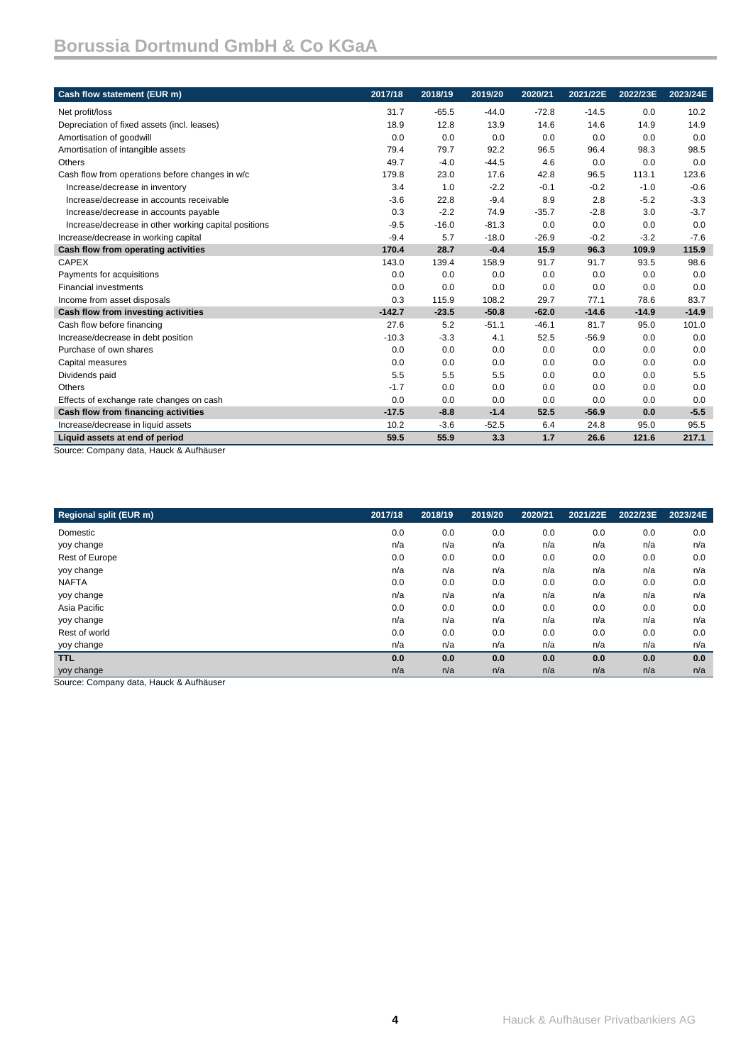| Cash flow statement (EUR m)                                               | 2017/18  | 2018/19 | 2019/20 | 2020/21 | 2021/22E | 2022/23E | 2023/24E |
|---------------------------------------------------------------------------|----------|---------|---------|---------|----------|----------|----------|
| Net profit/loss                                                           | 31.7     | $-65.5$ | $-44.0$ | $-72.8$ | $-14.5$  | 0.0      | 10.2     |
| Depreciation of fixed assets (incl. leases)                               | 18.9     | 12.8    | 13.9    | 14.6    | 14.6     | 14.9     | 14.9     |
| Amortisation of goodwill                                                  | 0.0      | 0.0     | 0.0     | 0.0     | 0.0      | 0.0      | 0.0      |
| Amortisation of intangible assets                                         | 79.4     | 79.7    | 92.2    | 96.5    | 96.4     | 98.3     | 98.5     |
| Others                                                                    | 49.7     | $-4.0$  | $-44.5$ | 4.6     | 0.0      | 0.0      | 0.0      |
| Cash flow from operations before changes in w/c                           | 179.8    | 23.0    | 17.6    | 42.8    | 96.5     | 113.1    | 123.6    |
| Increase/decrease in inventory                                            | 3.4      | 1.0     | $-2.2$  | $-0.1$  | $-0.2$   | $-1.0$   | $-0.6$   |
| Increase/decrease in accounts receivable                                  | $-3.6$   | 22.8    | $-9.4$  | 8.9     | 2.8      | $-5.2$   | $-3.3$   |
| Increase/decrease in accounts payable                                     | 0.3      | $-2.2$  | 74.9    | $-35.7$ | $-2.8$   | 3.0      | $-3.7$   |
| Increase/decrease in other working capital positions                      | $-9.5$   | $-16.0$ | $-81.3$ | 0.0     | 0.0      | 0.0      | 0.0      |
| Increase/decrease in working capital                                      | $-9.4$   | 5.7     | $-18.0$ | $-26.9$ | $-0.2$   | $-3.2$   | $-7.6$   |
| Cash flow from operating activities                                       | 170.4    | 28.7    | $-0.4$  | 15.9    | 96.3     | 109.9    | 115.9    |
| <b>CAPEX</b>                                                              | 143.0    | 139.4   | 158.9   | 91.7    | 91.7     | 93.5     | 98.6     |
| Payments for acquisitions                                                 | 0.0      | 0.0     | 0.0     | 0.0     | 0.0      | 0.0      | 0.0      |
| <b>Financial investments</b>                                              | 0.0      | 0.0     | 0.0     | 0.0     | 0.0      | 0.0      | 0.0      |
| Income from asset disposals                                               | 0.3      | 115.9   | 108.2   | 29.7    | 77.1     | 78.6     | 83.7     |
| Cash flow from investing activities                                       | $-142.7$ | $-23.5$ | $-50.8$ | $-62.0$ | $-14.6$  | $-14.9$  | $-14.9$  |
| Cash flow before financing                                                | 27.6     | 5.2     | $-51.1$ | $-46.1$ | 81.7     | 95.0     | 101.0    |
| Increase/decrease in debt position                                        | $-10.3$  | $-3.3$  | 4.1     | 52.5    | $-56.9$  | 0.0      | 0.0      |
| Purchase of own shares                                                    | 0.0      | 0.0     | 0.0     | 0.0     | 0.0      | 0.0      | 0.0      |
| Capital measures                                                          | 0.0      | 0.0     | 0.0     | 0.0     | 0.0      | 0.0      | 0.0      |
| Dividends paid                                                            | 5.5      | 5.5     | 5.5     | 0.0     | 0.0      | 0.0      | 5.5      |
| Others                                                                    | $-1.7$   | 0.0     | 0.0     | 0.0     | 0.0      | 0.0      | 0.0      |
| Effects of exchange rate changes on cash                                  | 0.0      | 0.0     | 0.0     | 0.0     | 0.0      | 0.0      | 0.0      |
| Cash flow from financing activities                                       | $-17.5$  | $-8.8$  | $-1.4$  | 52.5    | $-56.9$  | 0.0      | $-5.5$   |
| Increase/decrease in liquid assets                                        | 10.2     | $-3.6$  | $-52.5$ | 6.4     | 24.8     | 95.0     | 95.5     |
| Liquid assets at end of period<br>Source: Company data, Houck & Aufbäuser | 59.5     | 55.9    | 3.3     | 1.7     | 26.6     | 121.6    | 217.1    |

Source: Company data, Hauck & Aufhäuser

| Regional split (EUR m)                  | 2017/18 | 2018/19 | 2019/20 | 2020/21 | 2021/22E | 2022/23E | 2023/24E |
|-----------------------------------------|---------|---------|---------|---------|----------|----------|----------|
| Domestic                                | 0.0     | 0.0     | 0.0     | 0.0     | 0.0      | 0.0      | 0.0      |
| yoy change                              | n/a     | n/a     | n/a     | n/a     | n/a      | n/a      | n/a      |
| Rest of Europe                          | 0.0     | 0.0     | 0.0     | 0.0     | 0.0      | 0.0      | 0.0      |
| yoy change                              | n/a     | n/a     | n/a     | n/a     | n/a      | n/a      | n/a      |
| <b>NAFTA</b>                            | 0.0     | 0.0     | 0.0     | 0.0     | 0.0      | 0.0      | 0.0      |
| yoy change                              | n/a     | n/a     | n/a     | n/a     | n/a      | n/a      | n/a      |
| Asia Pacific                            | 0.0     | 0.0     | 0.0     | 0.0     | 0.0      | 0.0      | 0.0      |
| yoy change                              | n/a     | n/a     | n/a     | n/a     | n/a      | n/a      | n/a      |
| Rest of world                           | 0.0     | 0.0     | 0.0     | 0.0     | 0.0      | 0.0      | 0.0      |
| yoy change                              | n/a     | n/a     | n/a     | n/a     | n/a      | n/a      | n/a      |
| <b>TTL</b>                              | 0.0     | 0.0     | 0.0     | 0.0     | 0.0      | 0.0      | 0.0      |
| yoy change                              | n/a     | n/a     | n/a     | n/a     | n/a      | n/a      | n/a      |
| Source: Company data, Houck & Aufbäuser |         |         |         |         |          |          |          |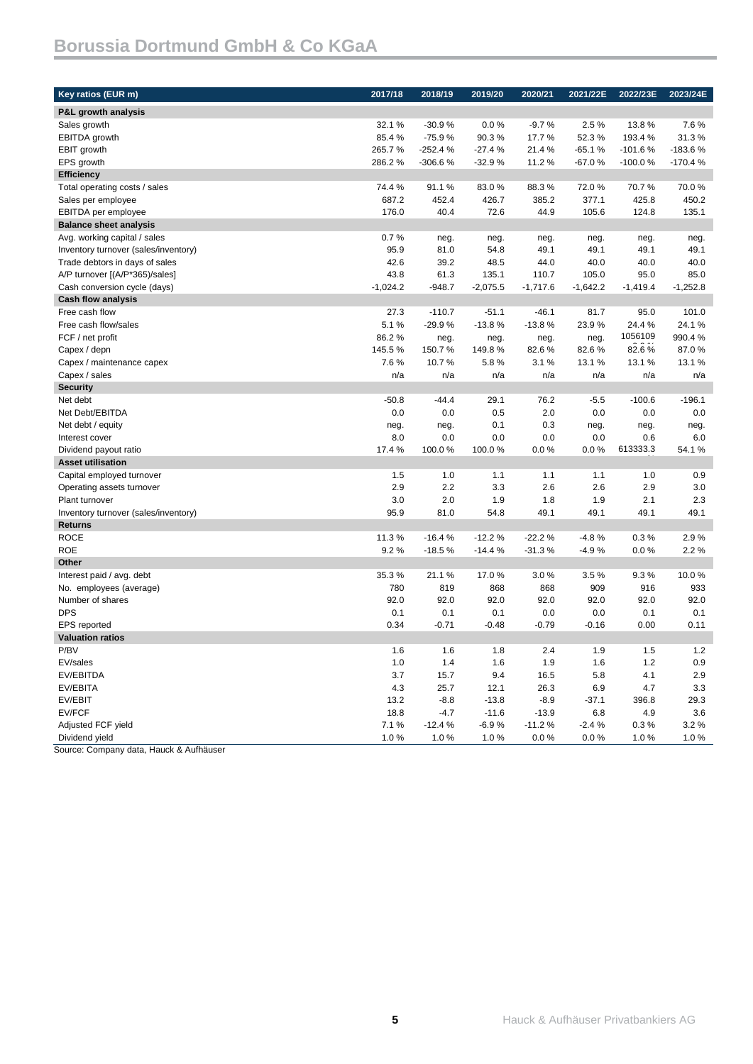| Key ratios (EUR m)                   | 2017/18      | 2018/19   | 2019/20    | 2020/21    | 2021/22E   | 2022/23E   | 2023/24E   |
|--------------------------------------|--------------|-----------|------------|------------|------------|------------|------------|
| P&L growth analysis                  |              |           |            |            |            |            |            |
| Sales growth                         | 32.1 %       | $-30.9%$  | $0.0\%$    | $-9.7%$    | 2.5%       | 13.8%      | 7.6%       |
| <b>EBITDA</b> growth                 | 85.4%        | $-75.9%$  | 90.3%      | 17.7%      | 52.3%      | 193.4%     | 31.3%      |
| EBIT growth                          | 265.7%       | $-252.4%$ | $-27.4%$   | 21.4%      | $-65.1%$   | $-101.6%$  | -183.6%    |
| EPS growth                           | 286.2%       | $-306.6%$ | $-32.9%$   | 11.2%      | $-67.0%$   | $-100.0%$  | $-170.4%$  |
| <b>Efficiency</b>                    |              |           |            |            |            |            |            |
| Total operating costs / sales        | 74.4%        | 91.1%     | 83.0%      | 88.3%      | 72.0%      | 70.7%      | 70.0%      |
| Sales per employee                   | 687.2        | 452.4     | 426.7      | 385.2      | 377.1      | 425.8      | 450.2      |
| EBITDA per employee                  | 176.0        | 40.4      | 72.6       | 44.9       | 105.6      | 124.8      | 135.1      |
| <b>Balance sheet analysis</b>        |              |           |            |            |            |            |            |
| Avg. working capital / sales         | 0.7%         | neg.      | neg.       | neg.       | neg.       | neg.       | neg.       |
| Inventory turnover (sales/inventory) | 95.9         | 81.0      | 54.8       | 49.1       | 49.1       | 49.1       | 49.1       |
| Trade debtors in days of sales       | 42.6         | 39.2      | 48.5       | 44.0       | 40.0       | 40.0       | 40.0       |
| A/P turnover [(A/P*365)/sales]       | 43.8         | 61.3      | 135.1      | 110.7      | 105.0      | 95.0       | 85.0       |
| Cash conversion cycle (days)         | $-1,024.2$   | $-948.7$  | $-2,075.5$ | $-1,717.6$ | $-1,642.2$ | $-1,419.4$ | $-1,252.8$ |
| <b>Cash flow analysis</b>            |              |           |            |            |            |            |            |
| Free cash flow                       | 27.3         | $-110.7$  | $-51.1$    | -46.1      | 81.7       | 95.0       | 101.0      |
| Free cash flow/sales                 | 5.1%         | $-29.9%$  | $-13.8%$   | $-13.8%$   | 23.9%      | 24.4%      | 24.1%      |
| FCF / net profit                     | 86.2%        | neg.      | neg.       | neg.       | neg.       | 1056109    | 990.4%     |
| Capex / depn                         | 145.5%       | 150.7%    | 149.8%     | 82.6%      | 82.6%      | 82.6%      | 87.0%      |
| Capex / maintenance capex            | 7.6%         | 10.7%     | 5.8%       | 3.1%       | 13.1 %     | 13.1 %     | 13.1%      |
| Capex / sales                        | n/a          | n/a       | n/a        | n/a        | n/a        | n/a        | n/a        |
| <b>Security</b>                      |              |           |            |            |            |            |            |
| Net debt                             | $-50.8$      | $-44.4$   | 29.1       | 76.2       | $-5.5$     | $-100.6$   | $-196.1$   |
| Net Debt/EBITDA                      | 0.0          | 0.0       | 0.5        | 2.0        | 0.0        | 0.0        | 0.0        |
| Net debt / equity                    | neg.         | neg.      | 0.1        | 0.3        | neg.       | neg.       | neg.       |
| Interest cover                       | 8.0          | 0.0       | 0.0        | 0.0        | 0.0        | 0.6        | 6.0        |
| Dividend payout ratio                | 17.4 %       | 100.0%    | 100.0%     | 0.0 %      | 0.0 %      | 613333.3   | 54.1%      |
| <b>Asset utilisation</b>             |              |           |            |            |            |            |            |
| Capital employed turnover            | 1.5          | 1.0       | 1.1        | 1.1        | 1.1        | 1.0        | 0.9        |
| Operating assets turnover            | 2.9          | 2.2       | 3.3        | 2.6        | 2.6        | 2.9        | 3.0        |
| Plant turnover                       | 3.0          | 2.0       | 1.9        | 1.8        | 1.9        | 2.1        | 2.3        |
| Inventory turnover (sales/inventory) | 95.9         | 81.0      | 54.8       | 49.1       | 49.1       | 49.1       | 49.1       |
| <b>Returns</b>                       |              |           |            |            |            |            |            |
| <b>ROCE</b>                          | 11.3%        | $-16.4%$  | $-12.2%$   | $-22.2%$   | $-4.8%$    | 0.3%       | 2.9%       |
| <b>ROE</b>                           | 9.2%         | $-18.5%$  | $-14.4%$   | $-31.3%$   | $-4.9%$    | 0.0%       | 2.2%       |
| Other                                |              |           |            |            |            |            |            |
| Interest paid / avg. debt            | 35.3%        | 21.1%     | 17.0%      | 3.0%       | 3.5%       | 9.3%       | 10.0%      |
| No. employees (average)              | 780          | 819       | 868        | 868        | 909        | 916        | 933        |
| Number of shares                     | 92.0         | 92.0      | 92.0       | 92.0       | 92.0       | 92.0       | 92.0       |
| <b>DPS</b>                           | 0.1          | 0.1       | 0.1        | 0.0        | 0.0        | 0.1        | 0.1        |
| <b>EPS</b> reported                  | 0.34         | $-0.71$   | $-0.48$    | $-0.79$    | $-0.16$    | 0.00       | 0.11       |
| <b>Valuation ratios</b>              |              |           |            |            |            |            |            |
| P/BV                                 | 1.6          | 1.6       | 1.8        | 2.4        | 1.9        | 1.5        | $1.2$      |
| EV/sales                             | 1.0          | 1.4       | 1.6        | 1.9        | 1.6        | 1.2        | 0.9        |
| EV/EBITDA                            | 3.7          | 15.7      | 9.4        | 16.5       | 5.8        | 4.1        | 2.9        |
| EV/EBITA                             | 4.3          | 25.7      | 12.1       | 26.3       | 6.9        | 4.7        | 3.3        |
| EV/EBIT<br>EV/FCF                    | 13.2<br>18.8 | $-8.8$    | $-13.8$    | $-8.9$     | $-37.1$    | 396.8      | 29.3       |
| Adjusted FCF yield                   |              | $-4.7$    | $-11.6$    | $-13.9$    | 6.8        | 4.9        | 3.6        |
|                                      | 7.1%         | $-12.4%$  | -6.9%      | $-11.2%$   | $-2.4%$    | 0.3%       | 3.2%       |
| Dividend yield                       | 1.0%         | 1.0%      | $1.0\ \%$  | 0.0 %      | 0.0 %      | 1.0%       | 1.0%       |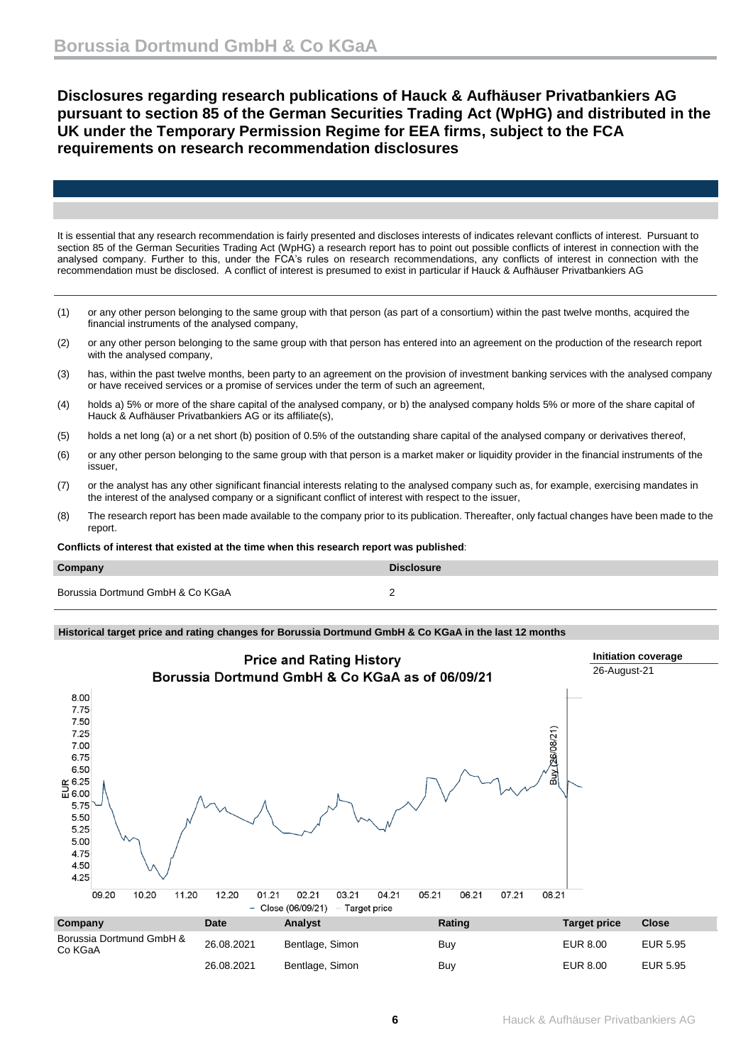**Disclosures regarding research publications of Hauck & Aufhäuser Privatbankiers AG pursuant to section 85 of the German Securities Trading Act (WpHG) and distributed in the UK under the Temporary Permission Regime for EEA firms, subject to the FCA requirements on research recommendation disclosures**

It is essential that any research recommendation is fairly presented and discloses interests of indicates relevant conflicts of interest. Pursuant to section 85 of the German Securities Trading Act (WpHG) a research report has to point out possible conflicts of interest in connection with the analysed company. Further to this, under the FCA's rules on research recommendations, any conflicts of interest in connection with the recommendation must be disclosed. A conflict of interest is presumed to exist in particular if Hauck & Aufhäuser Privatbankiers AG

- (1) or any other person belonging to the same group with that person (as part of a consortium) within the past twelve months, acquired the financial instruments of the analysed company,
- (2) or any other person belonging to the same group with that person has entered into an agreement on the production of the research report with the analysed company,
- (3) has, within the past twelve months, been party to an agreement on the provision of investment banking services with the analysed company or have received services or a promise of services under the term of such an agreement,
- (4) holds a) 5% or more of the share capital of the analysed company, or b) the analysed company holds 5% or more of the share capital of Hauck & Aufhäuser Privatbankiers AG or its affiliate(s),
- (5) holds a net long (a) or a net short (b) position of 0.5% of the outstanding share capital of the analysed company or derivatives thereof,
- (6) or any other person belonging to the same group with that person is a market maker or liquidity provider in the financial instruments of the issuer,
- (7) or the analyst has any other significant financial interests relating to the analysed company such as, for example, exercising mandates in the interest of the analysed company or a significant conflict of interest with respect to the issuer,
- (8) The research report has been made available to the company prior to its publication. Thereafter, only factual changes have been made to the report.

**Conflicts of interest that existed at the time when this research report was published**:

| Company                          | <b>Disclosure</b> |
|----------------------------------|-------------------|
| Borussia Dortmund GmbH & Co KGaA |                   |

### **Historical target price and rating changes for Borussia Dortmund GmbH & Co KGaA in the last 12 months**

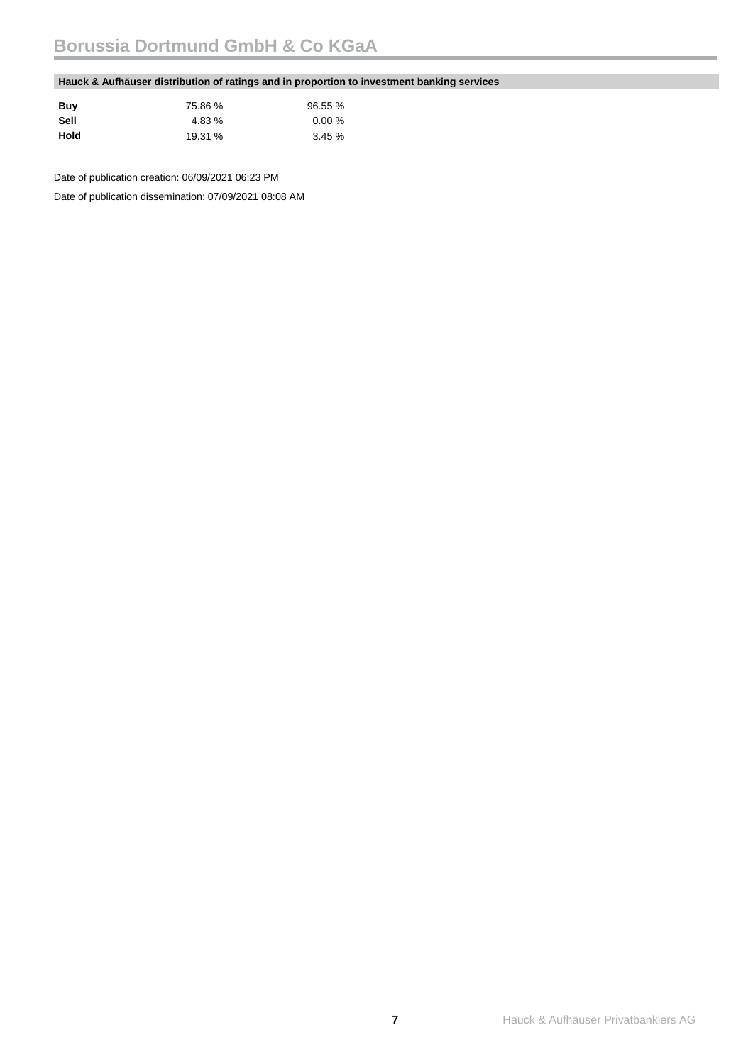### **Hauck & Aufhäuser distribution of ratings and in proportion to investment banking services**

| Buy  | 75.86 % | 96.55 % |
|------|---------|---------|
| Sell | 4.83 %  | 0.00%   |
| Hold | 19.31 % | 3.45%   |

Date of publication creation: 06/09/2021 06:23 PM

Date of publication dissemination: 07/09/2021 08:08 AM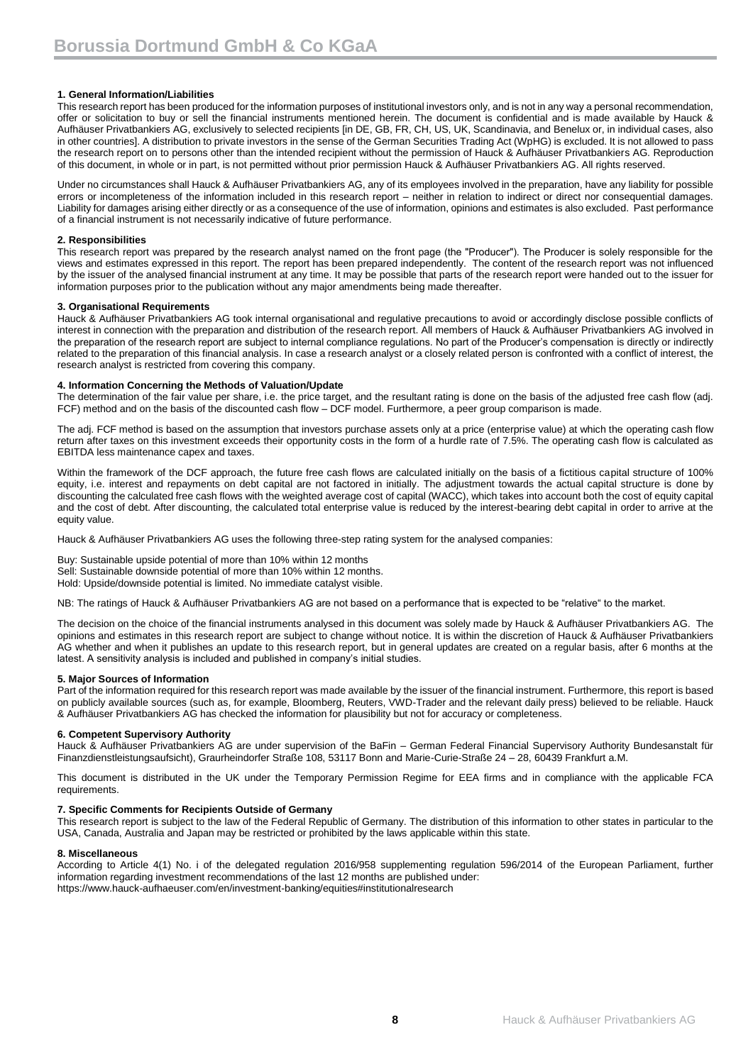### **1. General Information/Liabilities**

This research report has been produced for the information purposes of institutional investors only, and is not in any way a personal recommendation, offer or solicitation to buy or sell the financial instruments mentioned herein. The document is confidential and is made available by Hauck & Aufhäuser Privatbankiers AG, exclusively to selected recipients [in DE, GB, FR, CH, US, UK, Scandinavia, and Benelux or, in individual cases, also in other countries]. A distribution to private investors in the sense of the German Securities Trading Act (WpHG) is excluded. It is not allowed to pass the research report on to persons other than the intended recipient without the permission of Hauck & Aufhäuser Privatbankiers AG. Reproduction of this document, in whole or in part, is not permitted without prior permission Hauck & Aufhäuser Privatbankiers AG. All rights reserved.

Under no circumstances shall Hauck & Aufhäuser Privatbankiers AG, any of its employees involved in the preparation, have any liability for possible errors or incompleteness of the information included in this research report – neither in relation to indirect or direct nor consequential damages. Liability for damages arising either directly or as a consequence of the use of information, opinions and estimates is also excluded. Past performance of a financial instrument is not necessarily indicative of future performance.

#### **2. Responsibilities**

This research report was prepared by the research analyst named on the front page (the "Producer"). The Producer is solely responsible for the views and estimates expressed in this report. The report has been prepared independently. The content of the research report was not influenced by the issuer of the analysed financial instrument at any time. It may be possible that parts of the research report were handed out to the issuer for information purposes prior to the publication without any major amendments being made thereafter.

#### **3. Organisational Requirements**

Hauck & Aufhäuser Privatbankiers AG took internal organisational and regulative precautions to avoid or accordingly disclose possible conflicts of interest in connection with the preparation and distribution of the research report. All members of Hauck & Aufhäuser Privatbankiers AG involved in the preparation of the research report are subject to internal compliance regulations. No part of the Producer's compensation is directly or indirectly related to the preparation of this financial analysis. In case a research analyst or a closely related person is confronted with a conflict of interest, the research analyst is restricted from covering this company.

#### **4. Information Concerning the Methods of Valuation/Update**

The determination of the fair value per share, i.e. the price target, and the resultant rating is done on the basis of the adjusted free cash flow (adj. FCF) method and on the basis of the discounted cash flow – DCF model. Furthermore, a peer group comparison is made.

The adj. FCF method is based on the assumption that investors purchase assets only at a price (enterprise value) at which the operating cash flow return after taxes on this investment exceeds their opportunity costs in the form of a hurdle rate of 7.5%. The operating cash flow is calculated as EBITDA less maintenance capex and taxes.

Within the framework of the DCF approach, the future free cash flows are calculated initially on the basis of a fictitious capital structure of 100% equity, i.e. interest and repayments on debt capital are not factored in initially. The adjustment towards the actual capital structure is done by discounting the calculated free cash flows with the weighted average cost of capital (WACC), which takes into account both the cost of equity capital and the cost of debt. After discounting, the calculated total enterprise value is reduced by the interest-bearing debt capital in order to arrive at the equity value.

Hauck & Aufhäuser Privatbankiers AG uses the following three-step rating system for the analysed companies:

Buy: Sustainable upside potential of more than 10% within 12 months Sell: Sustainable downside potential of more than 10% within 12 months. Hold: Upside/downside potential is limited. No immediate catalyst visible.

NB: The ratings of Hauck & Aufhäuser Privatbankiers AG are not based on a performance that is expected to be "relative" to the market.

The decision on the choice of the financial instruments analysed in this document was solely made by Hauck & Aufhäuser Privatbankiers AG. The opinions and estimates in this research report are subject to change without notice. It is within the discretion of Hauck & Aufhäuser Privatbankiers AG whether and when it publishes an update to this research report, but in general updates are created on a regular basis, after 6 months at the latest. A sensitivity analysis is included and published in company's initial studies.

### **5. Major Sources of Information**

Part of the information required for this research report was made available by the issuer of the financial instrument. Furthermore, this report is based on publicly available sources (such as, for example, Bloomberg, Reuters, VWD-Trader and the relevant daily press) believed to be reliable. Hauck & Aufhäuser Privatbankiers AG has checked the information for plausibility but not for accuracy or completeness.

### **6. Competent Supervisory Authority**

Hauck & Aufhäuser Privatbankiers AG are under supervision of the BaFin – German Federal Financial Supervisory Authority Bundesanstalt für Finanzdienstleistungsaufsicht), Graurheindorfer Straße 108, 53117 Bonn and Marie-Curie-Straße 24 – 28, 60439 Frankfurt a.M.

This document is distributed in the UK under the Temporary Permission Regime for EEA firms and in compliance with the applicable FCA requirements.

### **7. Specific Comments for Recipients Outside of Germany**

This research report is subject to the law of the Federal Republic of Germany. The distribution of this information to other states in particular to the USA, Canada, Australia and Japan may be restricted or prohibited by the laws applicable within this state.

#### **8. Miscellaneous**

According to Article 4(1) No. i of the delegated regulation 2016/958 supplementing regulation 596/2014 of the European Parliament, further information regarding investment recommendations of the last 12 months are published under: https://www.hauck-aufhaeuser.com/en/investment-banking/equities#institutionalresearch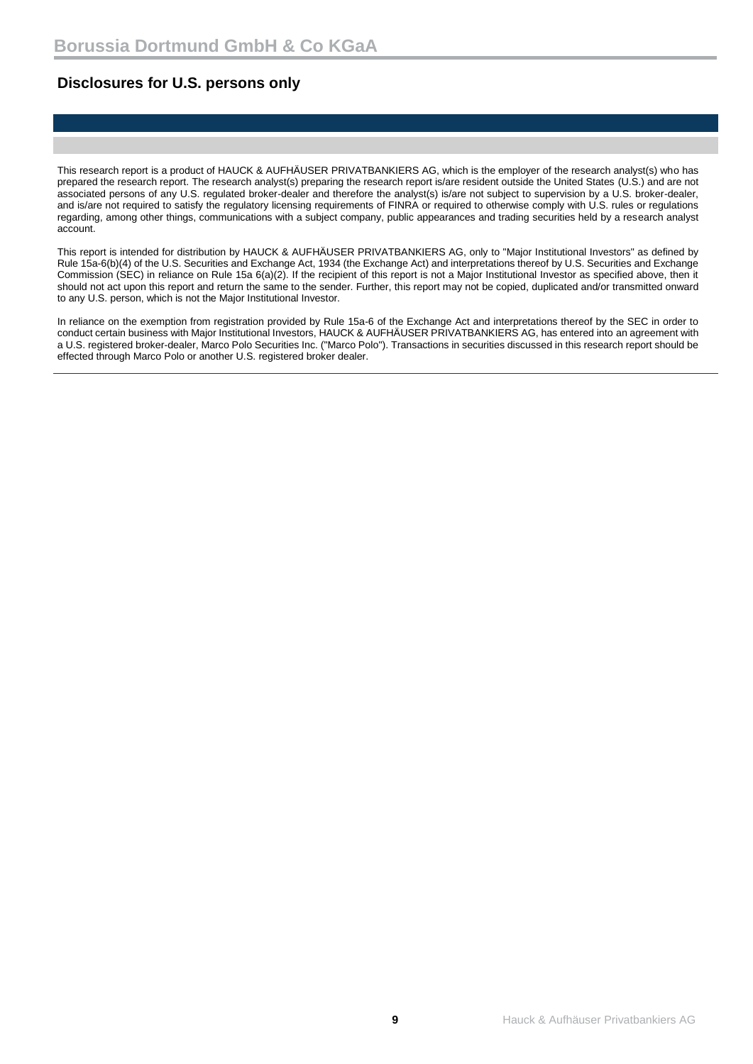## **Disclosures for U.S. persons only**

This research report is a product of HAUCK & AUFHÄUSER PRIVATBANKIERS AG, which is the employer of the research analyst(s) who has prepared the research report. The research analyst(s) preparing the research report is/are resident outside the United States (U.S.) and are not associated persons of any U.S. regulated broker-dealer and therefore the analyst(s) is/are not subject to supervision by a U.S. broker-dealer, and is/are not required to satisfy the regulatory licensing requirements of FINRA or required to otherwise comply with U.S. rules or regulations regarding, among other things, communications with a subject company, public appearances and trading securities held by a research analyst account.

This report is intended for distribution by HAUCK & AUFHÄUSER PRIVATBANKIERS AG, only to "Major Institutional Investors" as defined by Rule 15a-6(b)(4) of the U.S. Securities and Exchange Act, 1934 (the Exchange Act) and interpretations thereof by U.S. Securities and Exchange Commission (SEC) in reliance on Rule 15a 6(a)(2). If the recipient of this report is not a Major Institutional Investor as specified above, then it should not act upon this report and return the same to the sender. Further, this report may not be copied, duplicated and/or transmitted onward to any U.S. person, which is not the Major Institutional Investor.

In reliance on the exemption from registration provided by Rule 15a-6 of the Exchange Act and interpretations thereof by the SEC in order to conduct certain business with Major Institutional Investors, HAUCK & AUFHÄUSER PRIVATBANKIERS AG, has entered into an agreement with a U.S. registered broker-dealer, Marco Polo Securities Inc. ("Marco Polo"). Transactions in securities discussed in this research report should be effected through Marco Polo or another U.S. registered broker dealer.